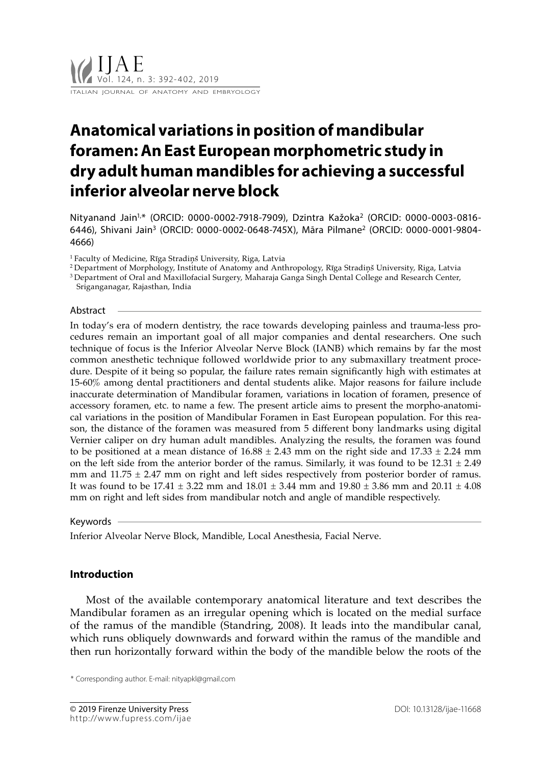# **Anatomical variations in position of mandibular foramen: An East European morphometric study in dry adult human mandibles for achieving a successful inferior alveolar nerve block**

Nityanand Jain1,\* (ORCID: 0000-0002-7918-7909), Dzintra Kažoka2 (ORCID: 0000-0003-0816- 6446), Shivani Jain3 (ORCID: 0000-0002-0648-745X), Māra Pilmane2 (ORCID: 0000-0001-9804- 4666)

<sup>1</sup>Faculty of Medicine, Rīga Stradiņš University, Riga, Latvia

<sup>2</sup>Department of Morphology, Institute of Anatomy and Anthropology, Rīga Stradiņš University, Riga, Latvia

<sup>3</sup>Department of Oral and Maxillofacial Surgery, Maharaja Ganga Singh Dental College and Research Center, Sriganganagar, Rajasthan, India

## Abstract

In today's era of modern dentistry, the race towards developing painless and trauma-less procedures remain an important goal of all major companies and dental researchers. One such technique of focus is the Inferior Alveolar Nerve Block (IANB) which remains by far the most common anesthetic technique followed worldwide prior to any submaxillary treatment procedure. Despite of it being so popular, the failure rates remain significantly high with estimates at 15-60% among dental practitioners and dental students alike. Major reasons for failure include inaccurate determination of Mandibular foramen, variations in location of foramen, presence of accessory foramen, etc. to name a few. The present article aims to present the morpho-anatomical variations in the position of Mandibular Foramen in East European population. For this reason, the distance of the foramen was measured from 5 different bony landmarks using digital Vernier caliper on dry human adult mandibles. Analyzing the results, the foramen was found to be positioned at a mean distance of  $16.88 \pm 2.43$  mm on the right side and  $17.33 \pm 2.24$  mm on the left side from the anterior border of the ramus. Similarly, it was found to be  $12.31 \pm 2.49$ mm and  $11.75 \pm 2.47$  mm on right and left sides respectively from posterior border of ramus. It was found to be 17.41  $\pm$  3.22 mm and 18.01  $\pm$  3.44 mm and 19.80  $\pm$  3.86 mm and 20.11  $\pm$  4.08 mm on right and left sides from mandibular notch and angle of mandible respectively.

### Keywords

Inferior Alveolar Nerve Block, Mandible, Local Anesthesia, Facial Nerve.

## **Introduction**

Most of the available contemporary anatomical literature and text describes the Mandibular foramen as an irregular opening which is located on the medial surface of the ramus of the mandible (Standring, 2008). It leads into the mandibular canal, which runs obliquely downwards and forward within the ramus of the mandible and then run horizontally forward within the body of the mandible below the roots of the

\* Corresponding author. E-mail: nityapkl@gmail.com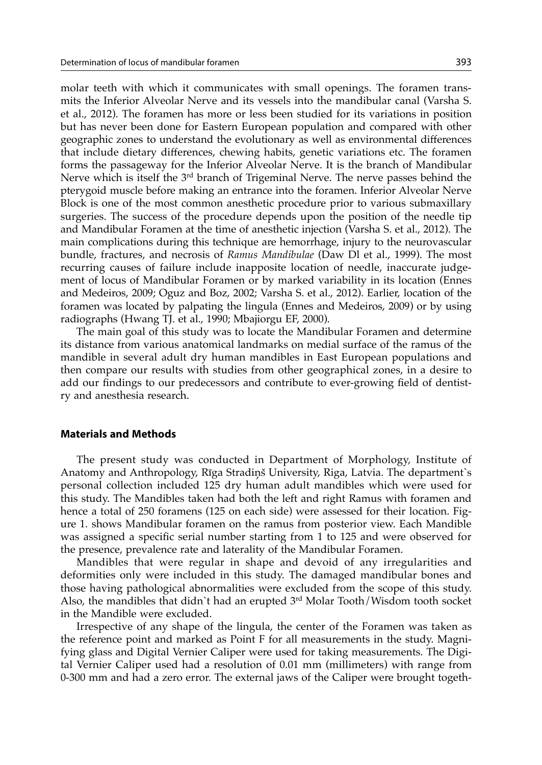molar teeth with which it communicates with small openings. The foramen transmits the Inferior Alveolar Nerve and its vessels into the mandibular canal (Varsha S. et al., 2012). The foramen has more or less been studied for its variations in position but has never been done for Eastern European population and compared with other geographic zones to understand the evolutionary as well as environmental differences that include dietary differences, chewing habits, genetic variations etc. The foramen forms the passageway for the Inferior Alveolar Nerve. It is the branch of Mandibular Nerve which is itself the 3rd branch of Trigeminal Nerve. The nerve passes behind the pterygoid muscle before making an entrance into the foramen. Inferior Alveolar Nerve Block is one of the most common anesthetic procedure prior to various submaxillary surgeries. The success of the procedure depends upon the position of the needle tip and Mandibular Foramen at the time of anesthetic injection (Varsha S. et al., 2012). The main complications during this technique are hemorrhage, injury to the neurovascular bundle, fractures, and necrosis of *Ramus Mandibulae* (Daw Dl et al., 1999). The most recurring causes of failure include inapposite location of needle, inaccurate judgement of locus of Mandibular Foramen or by marked variability in its location (Ennes and Medeiros, 2009; Oguz and Boz, 2002; Varsha S. et al., 2012). Earlier, location of the foramen was located by palpating the lingula (Ennes and Medeiros, 2009) or by using radiographs (Hwang TJ. et al., 1990; Mbajiorgu EF, 2000).

The main goal of this study was to locate the Mandibular Foramen and determine its distance from various anatomical landmarks on medial surface of the ramus of the mandible in several adult dry human mandibles in East European populations and then compare our results with studies from other geographical zones, in a desire to add our findings to our predecessors and contribute to ever-growing field of dentistry and anesthesia research.

## **Materials and Methods**

The present study was conducted in Department of Morphology, Institute of Anatomy and Anthropology, Rīga Stradiņš University, Riga, Latvia. The department`s personal collection included 125 dry human adult mandibles which were used for this study. The Mandibles taken had both the left and right Ramus with foramen and hence a total of 250 foramens (125 on each side) were assessed for their location. Figure 1. shows Mandibular foramen on the ramus from posterior view. Each Mandible was assigned a specific serial number starting from 1 to 125 and were observed for the presence, prevalence rate and laterality of the Mandibular Foramen.

Mandibles that were regular in shape and devoid of any irregularities and deformities only were included in this study. The damaged mandibular bones and those having pathological abnormalities were excluded from the scope of this study. Also, the mandibles that didn`t had an erupted  $3<sup>rd</sup>$  Molar Tooth/Wisdom tooth socket in the Mandible were excluded.

Irrespective of any shape of the lingula, the center of the Foramen was taken as the reference point and marked as Point F for all measurements in the study. Magnifying glass and Digital Vernier Caliper were used for taking measurements. The Digital Vernier Caliper used had a resolution of 0.01 mm (millimeters) with range from 0-300 mm and had a zero error. The external jaws of the Caliper were brought togeth-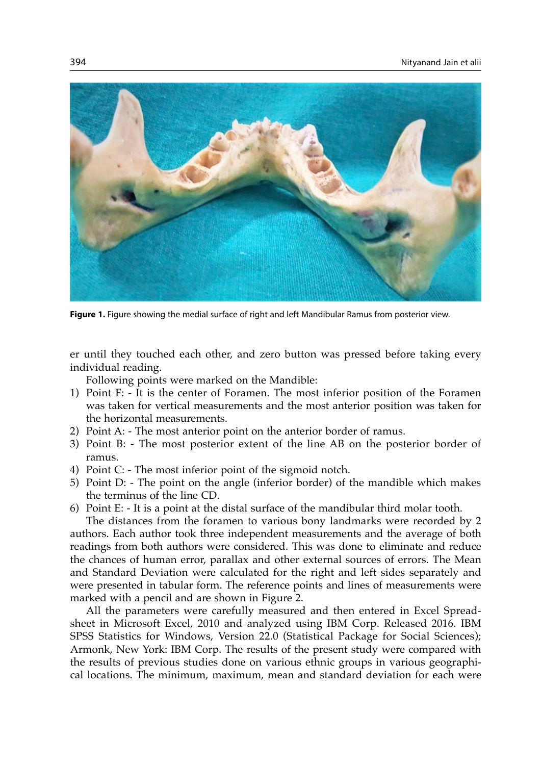

**Figure 1.** Figure showing the medial surface of right and left Mandibular Ramus from posterior view.

er until they touched each other, and zero button was pressed before taking every individual reading.

Following points were marked on the Mandible:

- 1) Point F: It is the center of Foramen. The most inferior position of the Foramen was taken for vertical measurements and the most anterior position was taken for the horizontal measurements.
- 2) Point A: The most anterior point on the anterior border of ramus.
- 3) Point B: The most posterior extent of the line AB on the posterior border of ramus.
- 4) Point C: The most inferior point of the sigmoid notch.
- 5) Point D: The point on the angle (inferior border) of the mandible which makes the terminus of the line CD.
- 6) Point E: It is a point at the distal surface of the mandibular third molar tooth.

The distances from the foramen to various bony landmarks were recorded by 2 authors. Each author took three independent measurements and the average of both readings from both authors were considered. This was done to eliminate and reduce the chances of human error, parallax and other external sources of errors. The Mean and Standard Deviation were calculated for the right and left sides separately and were presented in tabular form. The reference points and lines of measurements were marked with a pencil and are shown in Figure 2.

All the parameters were carefully measured and then entered in Excel Spreadsheet in Microsoft Excel, 2010 and analyzed using IBM Corp. Released 2016. IBM SPSS Statistics for Windows, Version 22.0 (Statistical Package for Social Sciences); Armonk, New York: IBM Corp. The results of the present study were compared with the results of previous studies done on various ethnic groups in various geographical locations. The minimum, maximum, mean and standard deviation for each were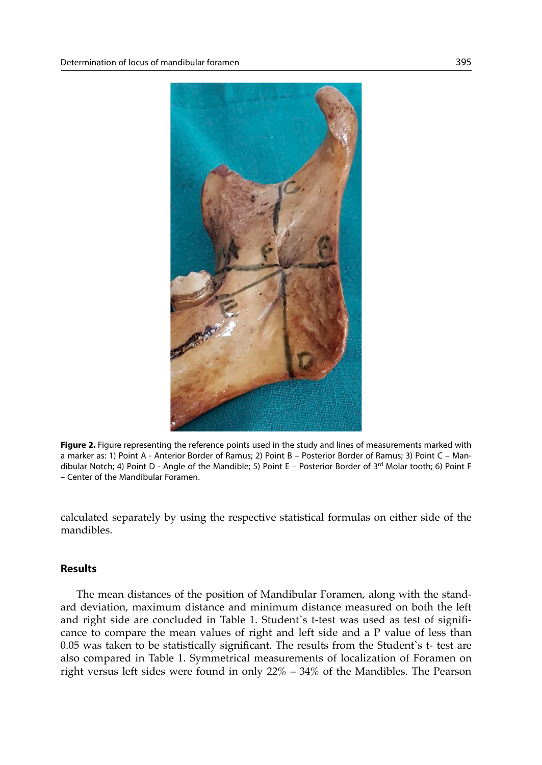

**Figure 2.** Figure representing the reference points used in the study and lines of measurements marked with a marker as: 1) Point A - Anterior Border of Ramus; 2) Point B – Posterior Border of Ramus; 3) Point C – Mandibular Notch; 4) Point D - Angle of the Mandible; 5) Point E – Posterior Border of 3rd Molar tooth; 6) Point F – Center of the Mandibular Foramen.

calculated separately by using the respective statistical formulas on either side of the mandibles.

## **Results**

The mean distances of the position of Mandibular Foramen, along with the standard deviation, maximum distance and minimum distance measured on both the left and right side are concluded in Table 1. Student`s t-test was used as test of significance to compare the mean values of right and left side and a P value of less than 0.05 was taken to be statistically significant. The results from the Student`s t- test are also compared in Table 1. Symmetrical measurements of localization of Foramen on right versus left sides were found in only  $22\% - 34\%$  of the Mandibles. The Pearson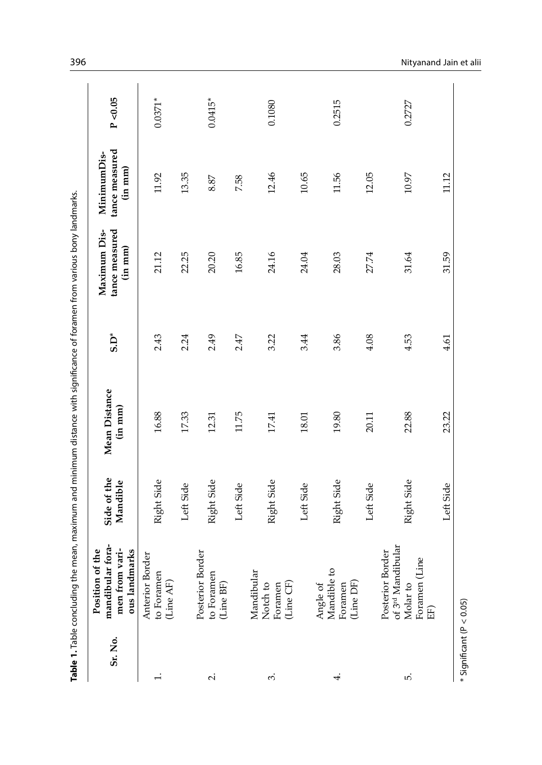|                | $\overline{\phantom{a}}$ |
|----------------|--------------------------|
|                | $\frac{1}{2}$            |
|                |                          |
|                | l                        |
|                |                          |
|                |                          |
|                | į                        |
|                |                          |
|                |                          |
|                |                          |
|                |                          |
|                |                          |
|                |                          |
|                |                          |
|                |                          |
|                |                          |
|                |                          |
|                |                          |
|                |                          |
|                | ı                        |
|                | ï                        |
|                | $\overline{\phantom{a}}$ |
|                |                          |
|                |                          |
|                | Ş                        |
|                |                          |
|                | ì                        |
|                |                          |
|                |                          |
|                |                          |
|                | ¢                        |
|                |                          |
|                |                          |
|                |                          |
|                | i                        |
|                |                          |
|                |                          |
|                |                          |
|                |                          |
|                |                          |
|                |                          |
|                |                          |
|                |                          |
|                |                          |
|                |                          |
|                |                          |
|                |                          |
|                |                          |
|                |                          |
|                |                          |
|                | j                        |
|                |                          |
|                |                          |
|                |                          |
| $\ddot{\cdot}$ |                          |
|                |                          |
|                | $\vdots$                 |
|                |                          |
|                |                          |
|                |                          |
|                |                          |
|                | į                        |
|                |                          |
|                |                          |
|                |                          |
|                |                          |
|                |                          |
|                |                          |
|                |                          |
|                |                          |
|                |                          |
|                |                          |
|                |                          |
|                |                          |
|                |                          |
|                | ļ                        |
|                |                          |
|                |                          |
|                |                          |
|                |                          |
|                |                          |
|                |                          |
|                |                          |
|                |                          |
|                | į                        |
|                |                          |
|                |                          |
|                |                          |
|                |                          |
|                |                          |
|                |                          |
|                |                          |
|                |                          |
|                | i<br>S                   |
|                |                          |
|                |                          |
|                |                          |
|                |                          |
|                |                          |
|                |                          |
|                |                          |
|                |                          |
|                | $\overline{a}$           |
|                |                          |
|                |                          |
|                | ١                        |
|                | ļ                        |
|                |                          |
|                |                          |
|                |                          |
|                |                          |
|                |                          |
|                |                          |
|                |                          |
|                | i                        |
|                |                          |
|                |                          |
|                |                          |
|                |                          |
|                | ì                        |
|                | ĺ                        |
| ł              |                          |
|                |                          |
|                | :<br>r                   |
|                |                          |
|                | ē                        |

| Sr. No.                      | mandibular fora-<br>n of the<br><b>Position</b>                                                    | Side of the | Mean Distance | $5. D^*$ | tance measured<br>Maximum Dis- | tance measured<br>MinimumDis- | P < 0.05  |
|------------------------------|----------------------------------------------------------------------------------------------------|-------------|---------------|----------|--------------------------------|-------------------------------|-----------|
|                              | men from vari-<br>ous landmarks                                                                    | Mandible    | $(in \; mm)$  |          | (in m m)                       | (in m m)                      |           |
| $\div$                       | Border<br>to Foramen<br>(Line AF)<br>Anterior                                                      | Right Side  | 16.88         | 2.43     | 21.12                          | 11.92                         | $0.0371*$ |
|                              |                                                                                                    | Left Side   | 17.33         | 2.24     | 22.25                          | 13.35                         |           |
| $\overline{\sim}$            | <b>Border</b><br>a<br>Posterior<br>to Foram<br>(Line BF)                                           | Right Side  | 12.31         | 2.49     | 20.20                          | 8.87                          | $0.0415*$ |
|                              |                                                                                                    | Left Side   | 11.75         | 2.47     | 16.85                          | 7.58                          |           |
| $\dot{\epsilon}$             | Mandibular<br>Notch to<br>Foramen<br>(Line CF)                                                     | Right Side  | 17.41         | 3.22     | 24.16                          | 12.46                         | 0.1080    |
|                              |                                                                                                    | Left Side   | 18.01         | 3.44     | 24.04                          | 10.65                         |           |
| 4.                           | Mandible to<br>Angle of<br>Foramen<br>(Line DF)                                                    | Right Side  | 19.80         | 3.86     | 28.03                          | 11.56                         | 0.2515    |
|                              |                                                                                                    | Left Side   | 20.11         | 4.08     | 27.74                          | 12.05                         |           |
| F.                           | of 3 <sup>rd</sup> Mandibular<br><b>Border</b><br>(Line<br>Posterior<br>Molar to<br>Foramen<br>EF) | Right Side  | 22.88         | 4.53     | 31.64                          | 10.97                         | 0.2727    |
|                              |                                                                                                    | Left Side   | 23.22         | 4.61     | 31.59                          | 11.12                         |           |
| $*$ Significant (P $<$ 0.05) |                                                                                                    |             |               |          |                                |                               |           |

396 Nityanand Jain et alii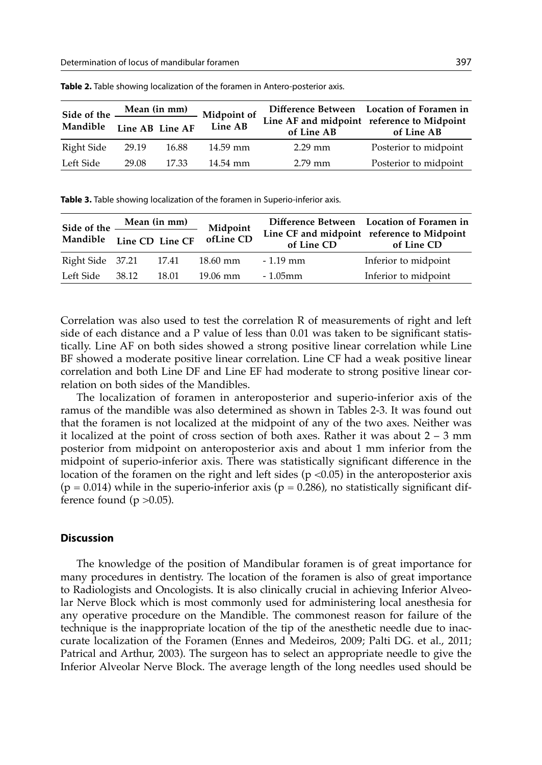|            | Side of the <u>Mean (in mm)</u> Midpoint of |       |          |                                                          | Difference Between Location of Foramen in |  |  |
|------------|---------------------------------------------|-------|----------|----------------------------------------------------------|-------------------------------------------|--|--|
| Mandible   | Line AB Line AF                             |       | Line AB  | Line AF and midpoint reference to Midpoint<br>of Line AB | of Line AB                                |  |  |
| Right Side | 29.19                                       | 16.88 | 14.59 mm | $2.29$ mm                                                | Posterior to midpoint                     |  |  |
| Left Side  | 29.08                                       | 17.33 | 14.54 mm | 2.79 mm                                                  | Posterior to midpoint                     |  |  |

**Table 2.** Table showing localization of the foramen in Antero-posterior axis.

**Table 3.** Table showing localization of the foramen in Superio-inferior axis.

| Side of the <u>Mean (in mm)</u> |       |       | Midpoint  |            | Difference Between Location of Foramen in<br>Line CF and midpoint reference to Midpoint<br>of Line CD |  |  |
|---------------------------------|-------|-------|-----------|------------|-------------------------------------------------------------------------------------------------------|--|--|
| Mandible Line CD Line CF        |       |       | ofLine CD | of Line CD |                                                                                                       |  |  |
| Right Side 37.21 17.41          |       |       | 18.60 mm  | $-1.19$ mm | Inferior to midpoint                                                                                  |  |  |
| Left Side                       | 38.12 | 18.01 | 19.06 mm  | $-1.05$ mm | Inferior to midpoint                                                                                  |  |  |

Correlation was also used to test the correlation R of measurements of right and left side of each distance and a P value of less than 0.01 was taken to be significant statistically. Line AF on both sides showed a strong positive linear correlation while Line BF showed a moderate positive linear correlation. Line CF had a weak positive linear correlation and both Line DF and Line EF had moderate to strong positive linear correlation on both sides of the Mandibles.

The localization of foramen in anteroposterior and superio-inferior axis of the ramus of the mandible was also determined as shown in Tables 2-3. It was found out that the foramen is not localized at the midpoint of any of the two axes. Neither was it localized at the point of cross section of both axes. Rather it was about 2 – 3 mm posterior from midpoint on anteroposterior axis and about 1 mm inferior from the midpoint of superio-inferior axis. There was statistically significant difference in the location of the foramen on the right and left sides ( $p$  <0.05) in the anteroposterior axis  $(p = 0.014)$  while in the superio-inferior axis  $(p = 0.286)$ , no statistically significant difference found ( $p > 0.05$ ).

#### **Discussion**

The knowledge of the position of Mandibular foramen is of great importance for many procedures in dentistry. The location of the foramen is also of great importance to Radiologists and Oncologists. It is also clinically crucial in achieving Inferior Alveolar Nerve Block which is most commonly used for administering local anesthesia for any operative procedure on the Mandible. The commonest reason for failure of the technique is the inappropriate location of the tip of the anesthetic needle due to inaccurate localization of the Foramen (Ennes and Medeiros, 2009; Palti DG. et al., 2011; Patrical and Arthur, 2003). The surgeon has to select an appropriate needle to give the Inferior Alveolar Nerve Block. The average length of the long needles used should be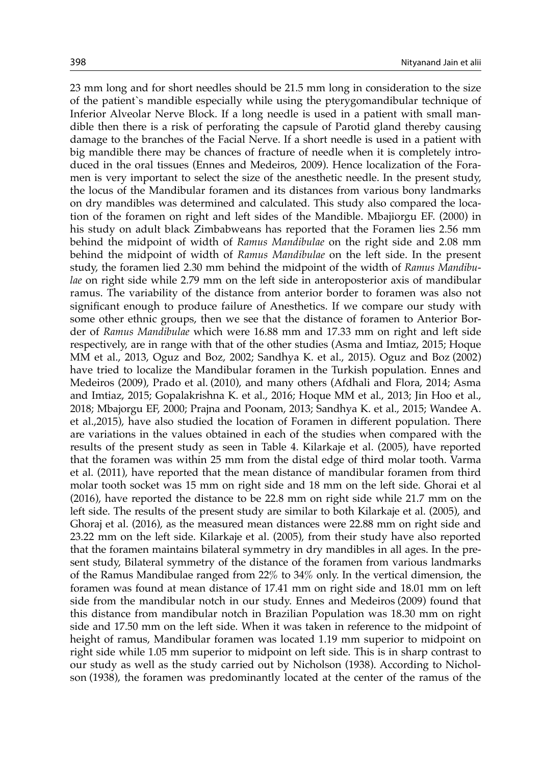23 mm long and for short needles should be 21.5 mm long in consideration to the size of the patient`s mandible especially while using the pterygomandibular technique of Inferior Alveolar Nerve Block. If a long needle is used in a patient with small mandible then there is a risk of perforating the capsule of Parotid gland thereby causing damage to the branches of the Facial Nerve. If a short needle is used in a patient with big mandible there may be chances of fracture of needle when it is completely introduced in the oral tissues (Ennes and Medeiros, 2009). Hence localization of the Foramen is very important to select the size of the anesthetic needle. In the present study, the locus of the Mandibular foramen and its distances from various bony landmarks on dry mandibles was determined and calculated. This study also compared the location of the foramen on right and left sides of the Mandible. Mbajiorgu EF. (2000) in his study on adult black Zimbabweans has reported that the Foramen lies 2.56 mm behind the midpoint of width of *Ramus Mandibulae* on the right side and 2.08 mm behind the midpoint of width of *Ramus Mandibulae* on the left side. In the present study, the foramen lied 2.30 mm behind the midpoint of the width of *Ramus Mandibulae* on right side while 2.79 mm on the left side in anteroposterior axis of mandibular ramus. The variability of the distance from anterior border to foramen was also not significant enough to produce failure of Anesthetics. If we compare our study with some other ethnic groups, then we see that the distance of foramen to Anterior Border of *Ramus Mandibulae* which were 16.88 mm and 17.33 mm on right and left side respectively, are in range with that of the other studies (Asma and Imtiaz, 2015; Hoque MM et al., 2013, Oguz and Boz, 2002; Sandhya K. et al., 2015). Oguz and Boz (2002) have tried to localize the Mandibular foramen in the Turkish population. Ennes and Medeiros (2009), Prado et al. (2010), and many others (Afdhali and Flora, 2014; Asma and Imtiaz, 2015; Gopalakrishna K. et al., 2016; Hoque MM et al., 2013; Jin Hoo et al., 2018; Mbajorgu EF, 2000; Prajna and Poonam, 2013; Sandhya K. et al., 2015; Wandee A. et al.,2015), have also studied the location of Foramen in different population. There are variations in the values obtained in each of the studies when compared with the results of the present study as seen in Table 4. Kilarkaje et al. (2005), have reported that the foramen was within 25 mm from the distal edge of third molar tooth. Varma et al. (2011), have reported that the mean distance of mandibular foramen from third molar tooth socket was 15 mm on right side and 18 mm on the left side. Ghorai et al (2016), have reported the distance to be 22.8 mm on right side while 21.7 mm on the left side. The results of the present study are similar to both Kilarkaje et al. (2005), and Ghoraj et al. (2016), as the measured mean distances were 22.88 mm on right side and 23.22 mm on the left side. Kilarkaje et al. (2005), from their study have also reported that the foramen maintains bilateral symmetry in dry mandibles in all ages. In the present study, Bilateral symmetry of the distance of the foramen from various landmarks of the Ramus Mandibulae ranged from 22% to 34% only. In the vertical dimension, the foramen was found at mean distance of 17.41 mm on right side and 18.01 mm on left side from the mandibular notch in our study. Ennes and Medeiros (2009) found that this distance from mandibular notch in Brazilian Population was 18.30 mm on right side and 17.50 mm on the left side. When it was taken in reference to the midpoint of height of ramus, Mandibular foramen was located 1.19 mm superior to midpoint on right side while 1.05 mm superior to midpoint on left side. This is in sharp contrast to our study as well as the study carried out by Nicholson (1938). According to Nicholson (1938), the foramen was predominantly located at the center of the ramus of the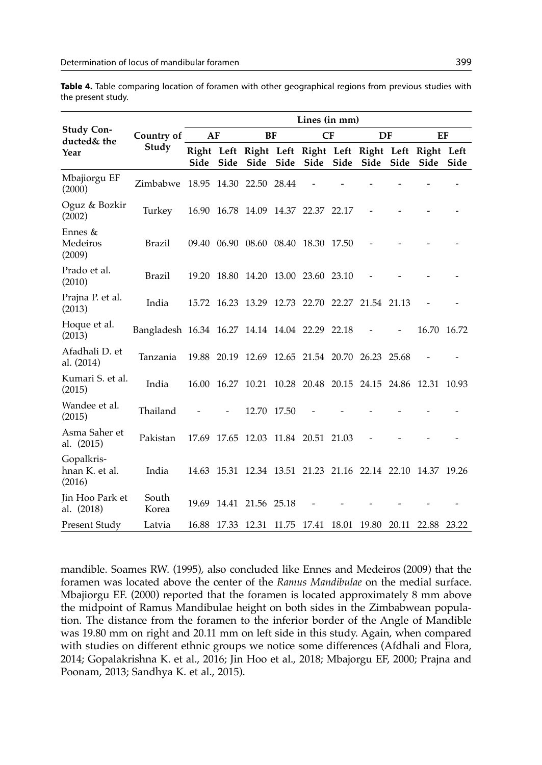| Table 4. Table comparing location of foramen with other geographical regions from previous studies with |  |  |  |  |
|---------------------------------------------------------------------------------------------------------|--|--|--|--|
| the present study.                                                                                      |  |  |  |  |

|                                        |                                                |      |                   |                                                 | Lines (in mm) |    |                         |       |                                                                |      |
|----------------------------------------|------------------------------------------------|------|-------------------|-------------------------------------------------|---------------|----|-------------------------|-------|----------------------------------------------------------------|------|
| <b>Study Con-</b><br>ducted& the       | Country of<br>Study                            | AF   |                   | BF                                              |               | CF | DF                      |       | EF                                                             |      |
| Year                                   |                                                | Side | Side              | Side                                            | Side Side     |    | Side Side               | Side  | Right Left Right Left Right Left Right Left Right Left<br>Side | Side |
| Mbajiorgu EF<br>(2000)                 | Zimbabwe 18.95 14.30 22.50 28.44               |      |                   |                                                 |               |    |                         |       |                                                                |      |
| Oguz & Bozkir<br>(2002)                | Turkey                                         |      |                   | 16.90 16.78 14.09 14.37 22.37 22.17             |               |    |                         |       |                                                                |      |
| Ennes &<br>Medeiros<br>(2009)          | Brazil                                         |      |                   | 09.40 06.90 08.60 08.40 18.30 17.50             |               |    |                         |       |                                                                |      |
| Prado et al.<br>(2010)                 | Brazil                                         |      |                   | 19.20 18.80 14.20 13.00 23.60 23.10             |               |    |                         |       |                                                                |      |
| Prajna P. et al.<br>(2013)             | India                                          |      |                   | 15.72 16.23 13.29 12.73 22.70 22.27             |               |    | 21.54 21.13             |       |                                                                |      |
| Hoque et al.<br>(2013)                 | Bangladesh 16.34 16.27 14.14 14.04 22.29 22.18 |      |                   |                                                 |               |    |                         |       | 16.70 16.72                                                    |      |
| Afadhali D. et<br>al. (2014)           | Tanzania                                       |      |                   | 19.88 20.19 12.69 12.65 21.54 20.70 26.23 25.68 |               |    |                         |       |                                                                |      |
| Kumari S. et al.<br>(2015)             | India                                          |      |                   | 16.00 16.27 10.21 10.28 20.48 20.15 24.15 24.86 |               |    |                         |       | 12.31 10.93                                                    |      |
| Wandee et al.<br>(2015)                | Thailand                                       |      |                   | 12.70 17.50                                     |               |    |                         |       |                                                                |      |
| Asma Saher et<br>al. (2015)            | Pakistan                                       |      | 17.69 17.65       | 12.03 11.84 20.51 21.03                         |               |    |                         |       |                                                                |      |
| Gopalkris-<br>hnan K. et al.<br>(2016) | India                                          |      |                   |                                                 |               |    |                         |       | 14.63 15.31 12.34 13.51 21.23 21.16 22.14 22.10 14.37 19.26    |      |
| Jin Hoo Park et<br>al. (2018)          | South<br>Korea                                 |      |                   | 19.69 14.41 21.56 25.18                         |               |    |                         |       |                                                                |      |
| Present Study                          | Latvia                                         |      | 16.88 17.33 12.31 |                                                 |               |    | 11.75 17.41 18.01 19.80 | 20.11 | 22.88 23.22                                                    |      |

mandible. Soames RW. (1995), also concluded like Ennes and Medeiros (2009) that the foramen was located above the center of the *Ramus Mandibulae* on the medial surface. Mbajiorgu EF. (2000) reported that the foramen is located approximately 8 mm above the midpoint of Ramus Mandibulae height on both sides in the Zimbabwean population. The distance from the foramen to the inferior border of the Angle of Mandible was 19.80 mm on right and 20.11 mm on left side in this study. Again, when compared with studies on different ethnic groups we notice some differences (Afdhali and Flora, 2014; Gopalakrishna K. et al., 2016; Jin Hoo et al., 2018; Mbajorgu EF, 2000; Prajna and Poonam, 2013; Sandhya K. et al., 2015).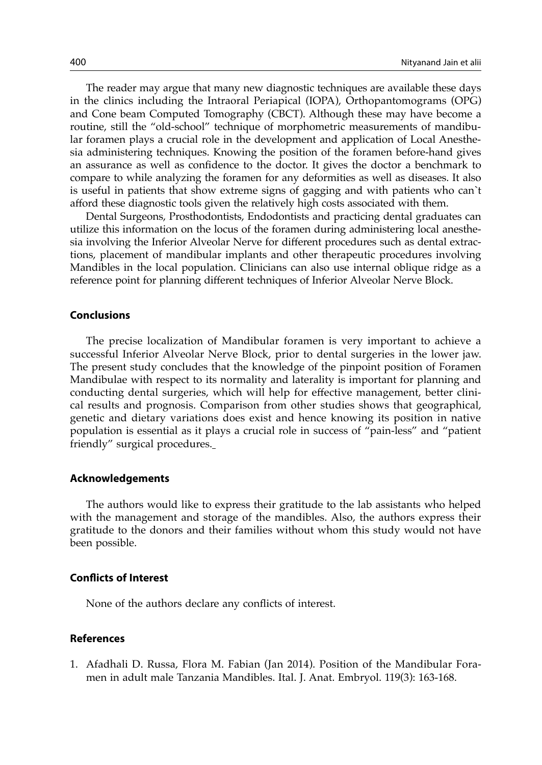The reader may argue that many new diagnostic techniques are available these days in the clinics including the Intraoral Periapical (IOPA), Orthopantomograms (OPG) and Cone beam Computed Tomography (CBCT). Although these may have become a routine, still the "old-school" technique of morphometric measurements of mandibular foramen plays a crucial role in the development and application of Local Anesthesia administering techniques. Knowing the position of the foramen before-hand gives an assurance as well as confidence to the doctor. It gives the doctor a benchmark to compare to while analyzing the foramen for any deformities as well as diseases. It also is useful in patients that show extreme signs of gagging and with patients who can`t afford these diagnostic tools given the relatively high costs associated with them.

Dental Surgeons, Prosthodontists, Endodontists and practicing dental graduates can utilize this information on the locus of the foramen during administering local anesthesia involving the Inferior Alveolar Nerve for different procedures such as dental extractions, placement of mandibular implants and other therapeutic procedures involving Mandibles in the local population. Clinicians can also use internal oblique ridge as a reference point for planning different techniques of Inferior Alveolar Nerve Block.

#### **Conclusions**

The precise localization of Mandibular foramen is very important to achieve a successful Inferior Alveolar Nerve Block, prior to dental surgeries in the lower jaw. The present study concludes that the knowledge of the pinpoint position of Foramen Mandibulae with respect to its normality and laterality is important for planning and conducting dental surgeries, which will help for effective management, better clinical results and prognosis. Comparison from other studies shows that geographical, genetic and dietary variations does exist and hence knowing its position in native population is essential as it plays a crucial role in success of "pain-less" and "patient friendly" surgical procedures.

#### **Acknowledgements**

The authors would like to express their gratitude to the lab assistants who helped with the management and storage of the mandibles. Also, the authors express their gratitude to the donors and their families without whom this study would not have been possible.

#### **Conflicts of Interest**

None of the authors declare any conflicts of interest.

## **References**

1. Afadhali D. Russa, Flora M. Fabian (Jan 2014). Position of the Mandibular Foramen in adult male Tanzania Mandibles. Ital. J. Anat. Embryol. 119(3): 163-168.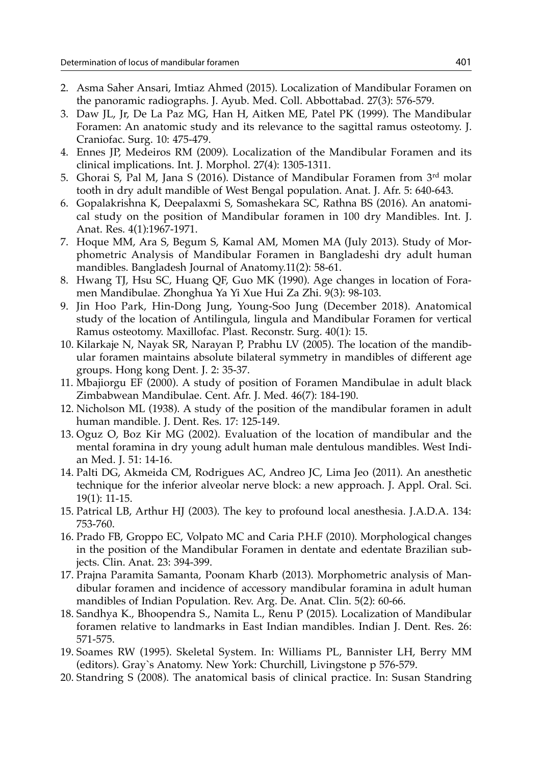- 2. Asma Saher Ansari, Imtiaz Ahmed (2015). Localization of Mandibular Foramen on the panoramic radiographs. J. Ayub. Med. Coll. Abbottabad. 27(3): 576-579.
- 3. Daw JL, Jr, De La Paz MG, Han H, Aitken ME, Patel PK (1999). The Mandibular Foramen: An anatomic study and its relevance to the sagittal ramus osteotomy. J. Craniofac. Surg. 10: 475-479.
- 4. Ennes JP, Medeiros RM (2009). Localization of the Mandibular Foramen and its clinical implications. Int. J. Morphol. 27(4): 1305-1311.
- 5. Ghorai S, Pal M, Jana S (2016). Distance of Mandibular Foramen from 3rd molar tooth in dry adult mandible of West Bengal population. Anat. J. Afr. 5: 640-643.
- 6. Gopalakrishna K, Deepalaxmi S, Somashekara SC, Rathna BS (2016). An anatomical study on the position of Mandibular foramen in 100 dry Mandibles. Int. J. Anat. Res. 4(1):1967-1971.
- 7. Hoque MM, Ara S, Begum S, Kamal AM, Momen MA (July 2013). Study of Morphometric Analysis of Mandibular Foramen in Bangladeshi dry adult human mandibles. Bangladesh Journal of Anatomy.11(2): 58-61.
- 8. Hwang TJ, Hsu SC, Huang QF, Guo MK (1990). Age changes in location of Foramen Mandibulae. Zhonghua Ya Yi Xue Hui Za Zhi. 9(3): 98-103.
- 9. Jin Hoo Park, Hin-Dong Jung, Young-Soo Jung (December 2018). Anatomical study of the location of Antilingula, lingula and Mandibular Foramen for vertical Ramus osteotomy. Maxillofac. Plast. Reconstr. Surg. 40(1): 15.
- 10. Kilarkaje N, Nayak SR, Narayan P, Prabhu LV (2005). The location of the mandibular foramen maintains absolute bilateral symmetry in mandibles of different age groups. Hong kong Dent. J. 2: 35-37.
- 11. Mbajiorgu EF (2000). A study of position of Foramen Mandibulae in adult black Zimbabwean Mandibulae. Cent. Afr. J. Med. 46(7): 184-190.
- 12. Nicholson ML (1938). A study of the position of the mandibular foramen in adult human mandible. J. Dent. Res. 17: 125-149.
- 13. Oguz O, Boz Kir MG (2002). Evaluation of the location of mandibular and the mental foramina in dry young adult human male dentulous mandibles. West Indian Med. J. 51: 14-16.
- 14. Palti DG, Akmeida CM, Rodrigues AC, Andreo JC, Lima Jeo (2011). An anesthetic technique for the inferior alveolar nerve block: a new approach. J. Appl. Oral. Sci. 19(1): 11-15.
- 15. Patrical LB, Arthur HJ (2003). The key to profound local anesthesia. J.A.D.A. 134: 753-760.
- 16. Prado FB, Groppo EC, Volpato MC and Caria P.H.F (2010). Morphological changes in the position of the Mandibular Foramen in dentate and edentate Brazilian subjects. Clin. Anat. 23: 394-399.
- 17. Prajna Paramita Samanta, Poonam Kharb (2013). Morphometric analysis of Mandibular foramen and incidence of accessory mandibular foramina in adult human mandibles of Indian Population. Rev. Arg. De. Anat. Clin. 5(2): 60-66.
- 18. Sandhya K., Bhoopendra S., Namita L., Renu P (2015). Localization of Mandibular foramen relative to landmarks in East Indian mandibles. Indian J. Dent. Res. 26: 571-575.
- 19. Soames RW (1995). Skeletal System. In: Williams PL, Bannister LH, Berry MM (editors). Gray`s Anatomy. New York: Churchill, Livingstone p 576-579.
- 20. Standring S (2008). The anatomical basis of clinical practice. In: Susan Standring